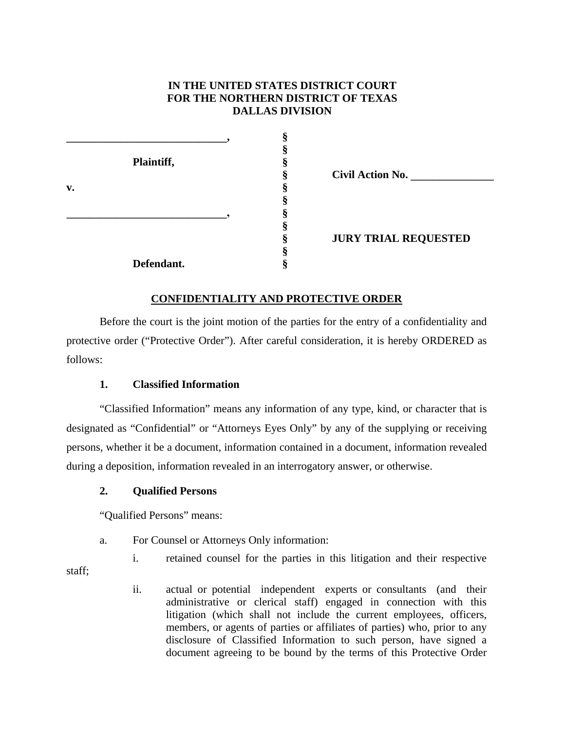## **IN THE UNITED STATES DISTRICT COURT FOR THE NORTHERN DISTRICT OF TEXAS DALLAS DIVISION**

|    |            | 8<br>5 |
|----|------------|--------|
|    |            | §      |
|    | Plaintiff, | §      |
|    |            | §      |
| v. |            | §      |
|    |            | ş      |
|    |            | §      |
|    |            | §      |
|    |            | §      |
|    |            | ş      |
|    | Defendant. | §      |

**§ Civil Action No. \_\_\_\_\_\_\_\_\_\_\_\_\_\_\_**

**§ JURY TRIAL REQUESTED** 

## **CONFIDENTIALITY AND PROTECTIVE ORDER**

Before the court is the joint motion of the parties for the entry of a confidentiality and protective order ("Protective Order"). After careful consideration, it is hereby ORDERED as follows:

## **1. Classified Information**

"Classified Information" means any information of any type, kind, or character that is designated as "Confidential" or "Attorneys Eyes Only" by any of the supplying or receiving persons, whether it be a document, information contained in a document, information revealed during a deposition, information revealed in an interrogatory answer, or otherwise.

#### **2. Qualified Persons**

"Qualified Persons" means:

staff;

a. For Counsel or Attorneys Only information:

i. retained counsel for the parties in this litigation and their respective

ii. actual or potential independent experts or consultants (and their administrative or clerical staff) engaged in connection with this litigation (which shall not include the current employees, officers, members, or agents of parties or affiliates of parties) who, prior to any disclosure of Classified Information to such person, have signed a document agreeing to be bound by the terms of this Protective Order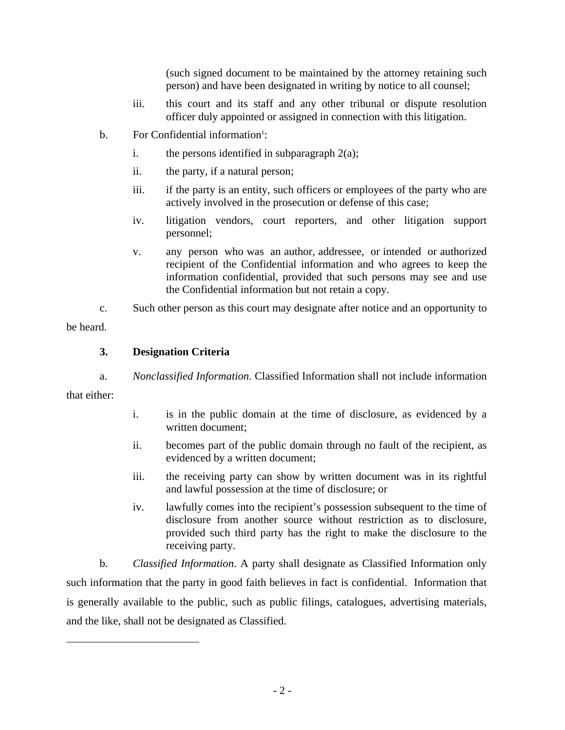(such signed document to be maintained by the attorney retaining such person) and have been designated in writing by notice to all counsel;

- iii. this court and its staff and any other tribunal or dispute resolution officer duly appointed or assigned in connection with this litigation.
- b. For Confidential information<sup>1</sup>:
	- i. the persons identified in subparagraph  $2(a)$ ;
	- ii. the party, if a natural person;
	- iii. if the party is an entity, such officers or employees of the party who are actively involved in the prosecution or defense of this case;
	- iv. litigation vendors, court reporters, and other litigation support personnel;
	- v. any person who was an author, addressee, or intended or authorized recipient of the Confidential information and who agrees to keep the information confidential, provided that such persons may see and use the Confidential information but not retain a copy.
- c. Such other person as this court may designate after notice and an opportunity to be heard.

## **3. Designation Criteria**

a. *Nonclassified Information.* Classified Information shall not include information

that either:

- i. is in the public domain at the time of disclosure, as evidenced by a written document;
- ii. becomes part of the public domain through no fault of the recipient, as evidenced by a written document;
- iii. the receiving party can show by written document was in its rightful and lawful possession at the time of disclosure; or
- iv. lawfully comes into the recipient's possession subsequent to the time of disclosure from another source without restriction as to disclosure, provided such third party has the right to make the disclosure to the receiving party.

b. *Classified Information*. A party shall designate as Classified Information only such information that the party in good faith believes in fact is confidential. Information that is generally available to the public, such as public filings, catalogues, advertising materials, and the like, shall not be designated as Classified.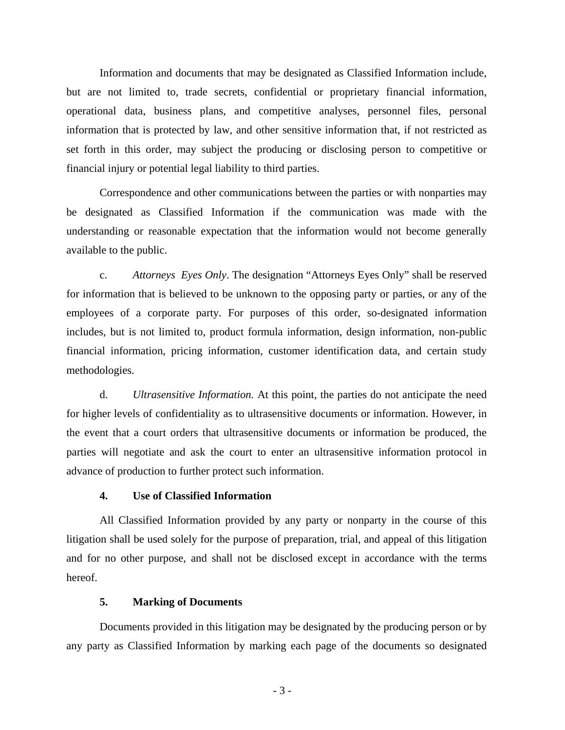Information and documents that may be designated as Classified Information include, but are not limited to, trade secrets, confidential or proprietary financial information, operational data, business plans, and competitive analyses, personnel files, personal information that is protected by law, and other sensitive information that, if not restricted as set forth in this order, may subject the producing or disclosing person to competitive or financial injury or potential legal liability to third parties.

Correspondence and other communications between the parties or with nonparties may be designated as Classified Information if the communication was made with the understanding or reasonable expectation that the information would not become generally available to the public.

c. *Attorneys Eyes Only*. The designation "Attorneys Eyes Only" shall be reserved for information that is believed to be unknown to the opposing party or parties, or any of the employees of a corporate party. For purposes of this order, so-designated information includes, but is not limited to, product formula information, design information, non-public financial information, pricing information, customer identification data, and certain study methodologies.

d. *Ultrasensitive Information.* At this point, the parties do not anticipate the need for higher levels of confidentiality as to ultrasensitive documents or information. However, in the event that a court orders that ultrasensitive documents or information be produced, the parties will negotiate and ask the court to enter an ultrasensitive information protocol in advance of production to further protect such information.

## **4. Use of Classified Information**

All Classified Information provided by any party or nonparty in the course of this litigation shall be used solely for the purpose of preparation, trial, and appeal of this litigation and for no other purpose, and shall not be disclosed except in accordance with the terms hereof.

#### **5. Marking of Documents**

Documents provided in this litigation may be designated by the producing person or by any party as Classified Information by marking each page of the documents so designated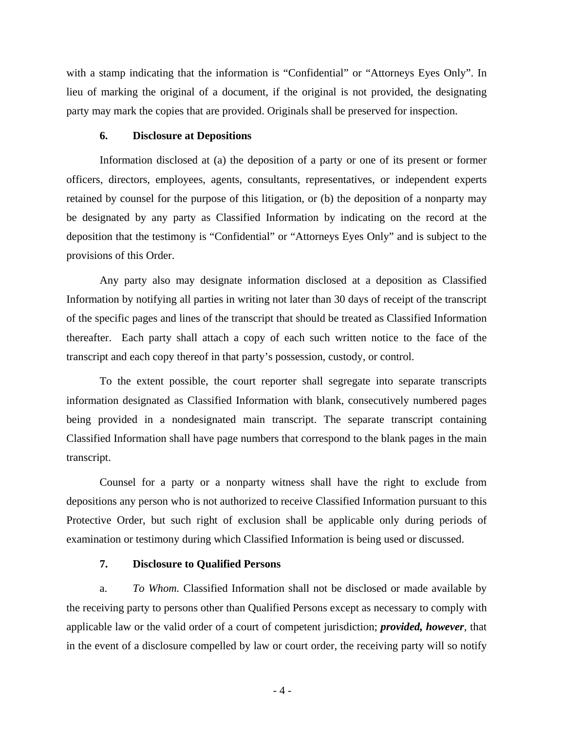with a stamp indicating that the information is "Confidential" or "Attorneys Eyes Only". In lieu of marking the original of a document, if the original is not provided, the designating party may mark the copies that are provided. Originals shall be preserved for inspection.

### **6. Disclosure at Depositions**

Information disclosed at (a) the deposition of a party or one of its present or former officers, directors, employees, agents, consultants, representatives, or independent experts retained by counsel for the purpose of this litigation, or (b) the deposition of a nonparty may be designated by any party as Classified Information by indicating on the record at the deposition that the testimony is "Confidential" or "Attorneys Eyes Only" and is subject to the provisions of this Order.

Any party also may designate information disclosed at a deposition as Classified Information by notifying all parties in writing not later than 30 days of receipt of the transcript of the specific pages and lines of the transcript that should be treated as Classified Information thereafter. Each party shall attach a copy of each such written notice to the face of the transcript and each copy thereof in that party's possession, custody, or control.

To the extent possible, the court reporter shall segregate into separate transcripts information designated as Classified Information with blank, consecutively numbered pages being provided in a nondesignated main transcript. The separate transcript containing Classified Information shall have page numbers that correspond to the blank pages in the main transcript.

Counsel for a party or a nonparty witness shall have the right to exclude from depositions any person who is not authorized to receive Classified Information pursuant to this Protective Order, but such right of exclusion shall be applicable only during periods of examination or testimony during which Classified Information is being used or discussed.

## **7. Disclosure to Qualified Persons**

a. *To Whom.* Classified Information shall not be disclosed or made available by the receiving party to persons other than Qualified Persons except as necessary to comply with applicable law or the valid order of a court of competent jurisdiction; *provided, however*, that in the event of a disclosure compelled by law or court order, the receiving party will so notify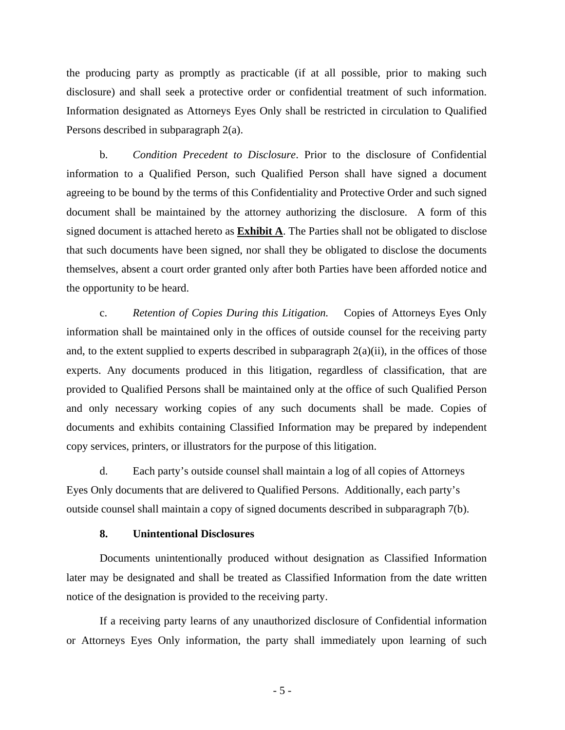the producing party as promptly as practicable (if at all possible, prior to making such disclosure) and shall seek a protective order or confidential treatment of such information. Information designated as Attorneys Eyes Only shall be restricted in circulation to Qualified Persons described in subparagraph 2(a).

b. *Condition Precedent to Disclosure*. Prior to the disclosure of Confidential information to a Qualified Person, such Qualified Person shall have signed a document agreeing to be bound by the terms of this Confidentiality and Protective Order and such signed document shall be maintained by the attorney authorizing the disclosure. A form of this signed document is attached hereto as **Exhibit A**. The Parties shall not be obligated to disclose that such documents have been signed, nor shall they be obligated to disclose the documents themselves, absent a court order granted only after both Parties have been afforded notice and the opportunity to be heard.

c. *Retention of Copies During this Litigation.* Copies of Attorneys Eyes Only information shall be maintained only in the offices of outside counsel for the receiving party and, to the extent supplied to experts described in subparagraph  $2(a)(ii)$ , in the offices of those experts. Any documents produced in this litigation, regardless of classification, that are provided to Qualified Persons shall be maintained only at the office of such Qualified Person and only necessary working copies of any such documents shall be made. Copies of documents and exhibits containing Classified Information may be prepared by independent copy services, printers, or illustrators for the purpose of this litigation.

d. Each party's outside counsel shall maintain a log of all copies of Attorneys Eyes Only documents that are delivered to Qualified Persons. Additionally, each party's outside counsel shall maintain a copy of signed documents described in subparagraph 7(b).

## **8. Unintentional Disclosures**

Documents unintentionally produced without designation as Classified Information later may be designated and shall be treated as Classified Information from the date written notice of the designation is provided to the receiving party.

If a receiving party learns of any unauthorized disclosure of Confidential information or Attorneys Eyes Only information, the party shall immediately upon learning of such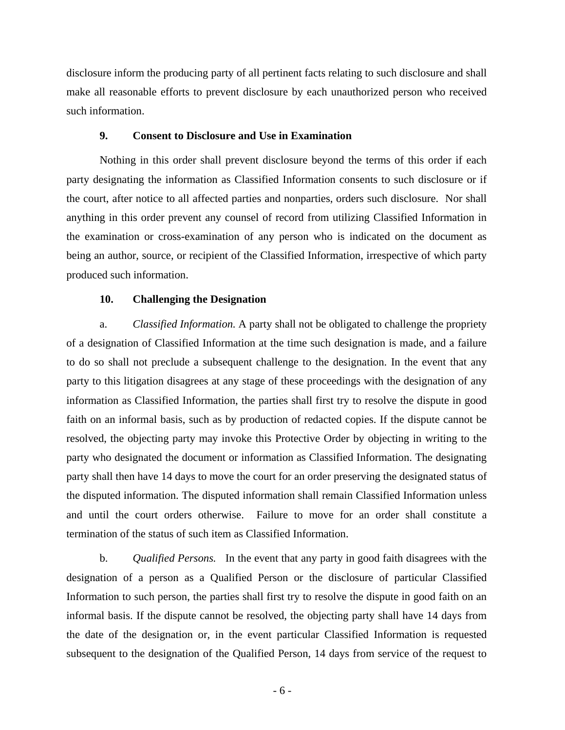disclosure inform the producing party of all pertinent facts relating to such disclosure and shall make all reasonable efforts to prevent disclosure by each unauthorized person who received such information.

#### **9. Consent to Disclosure and Use in Examination**

Nothing in this order shall prevent disclosure beyond the terms of this order if each party designating the information as Classified Information consents to such disclosure or if the court, after notice to all affected parties and nonparties, orders such disclosure. Nor shall anything in this order prevent any counsel of record from utilizing Classified Information in the examination or cross-examination of any person who is indicated on the document as being an author, source, or recipient of the Classified Information, irrespective of which party produced such information.

#### **10. Challenging the Designation**

a. *Classified Information.* A party shall not be obligated to challenge the propriety of a designation of Classified Information at the time such designation is made, and a failure to do so shall not preclude a subsequent challenge to the designation. In the event that any party to this litigation disagrees at any stage of these proceedings with the designation of any information as Classified Information, the parties shall first try to resolve the dispute in good faith on an informal basis, such as by production of redacted copies. If the dispute cannot be resolved, the objecting party may invoke this Protective Order by objecting in writing to the party who designated the document or information as Classified Information. The designating party shall then have 14 days to move the court for an order preserving the designated status of the disputed information. The disputed information shall remain Classified Information unless and until the court orders otherwise. Failure to move for an order shall constitute a termination of the status of such item as Classified Information.

b. *Qualified Persons.* In the event that any party in good faith disagrees with the designation of a person as a Qualified Person or the disclosure of particular Classified Information to such person, the parties shall first try to resolve the dispute in good faith on an informal basis. If the dispute cannot be resolved, the objecting party shall have 14 days from the date of the designation or, in the event particular Classified Information is requested subsequent to the designation of the Qualified Person, 14 days from service of the request to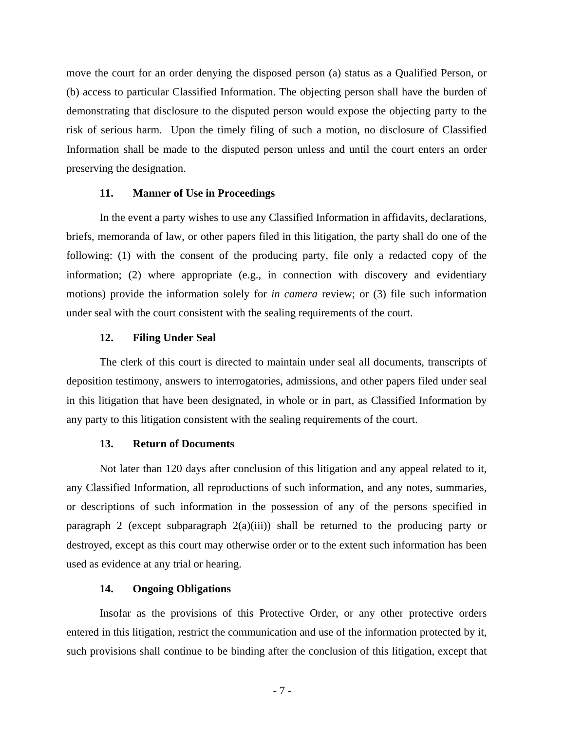move the court for an order denying the disposed person (a) status as a Qualified Person, or (b) access to particular Classified Information. The objecting person shall have the burden of demonstrating that disclosure to the disputed person would expose the objecting party to the risk of serious harm. Upon the timely filing of such a motion, no disclosure of Classified Information shall be made to the disputed person unless and until the court enters an order preserving the designation.

#### **11. Manner of Use in Proceedings**

In the event a party wishes to use any Classified Information in affidavits, declarations, briefs, memoranda of law, or other papers filed in this litigation, the party shall do one of the following: (1) with the consent of the producing party, file only a redacted copy of the information; (2) where appropriate (e.g., in connection with discovery and evidentiary motions) provide the information solely for *in camera* review; or (3) file such information under seal with the court consistent with the sealing requirements of the court.

#### **12. Filing Under Seal**

The clerk of this court is directed to maintain under seal all documents, transcripts of deposition testimony, answers to interrogatories, admissions, and other papers filed under seal in this litigation that have been designated, in whole or in part, as Classified Information by any party to this litigation consistent with the sealing requirements of the court.

#### **13. Return of Documents**

Not later than 120 days after conclusion of this litigation and any appeal related to it, any Classified Information, all reproductions of such information, and any notes, summaries, or descriptions of such information in the possession of any of the persons specified in paragraph 2 (except subparagraph  $2(a)(iii)$ ) shall be returned to the producing party or destroyed, except as this court may otherwise order or to the extent such information has been used as evidence at any trial or hearing.

#### **14. Ongoing Obligations**

Insofar as the provisions of this Protective Order, or any other protective orders entered in this litigation, restrict the communication and use of the information protected by it, such provisions shall continue to be binding after the conclusion of this litigation, except that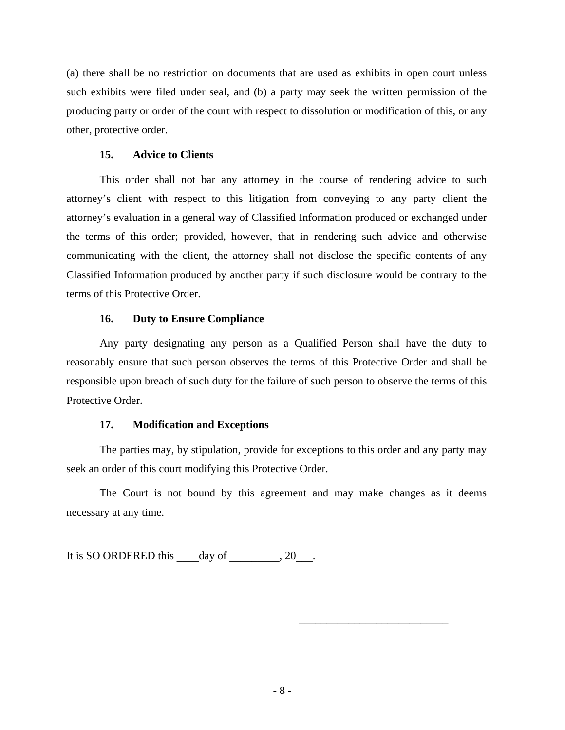(a) there shall be no restriction on documents that are used as exhibits in open court unless such exhibits were filed under seal, and (b) a party may seek the written permission of the producing party or order of the court with respect to dissolution or modification of this, or any other, protective order.

## **15. Advice to Clients**

This order shall not bar any attorney in the course of rendering advice to such attorney's client with respect to this litigation from conveying to any party client the attorney's evaluation in a general way of Classified Information produced or exchanged under the terms of this order; provided, however, that in rendering such advice and otherwise communicating with the client, the attorney shall not disclose the specific contents of any Classified Information produced by another party if such disclosure would be contrary to the terms of this Protective Order.

#### **16. Duty to Ensure Compliance**

Any party designating any person as a Qualified Person shall have the duty to reasonably ensure that such person observes the terms of this Protective Order and shall be responsible upon breach of such duty for the failure of such person to observe the terms of this Protective Order.

#### **17. Modification and Exceptions**

The parties may, by stipulation, provide for exceptions to this order and any party may seek an order of this court modifying this Protective Order.

The Court is not bound by this agreement and may make changes as it deems necessary at any time.

It is SO ORDERED this  $\_\_$  day of  $\_\_$ , 20 $\_\_$ .

\_\_\_\_\_\_\_\_\_\_\_\_\_\_\_\_\_\_\_\_\_\_\_\_\_\_\_